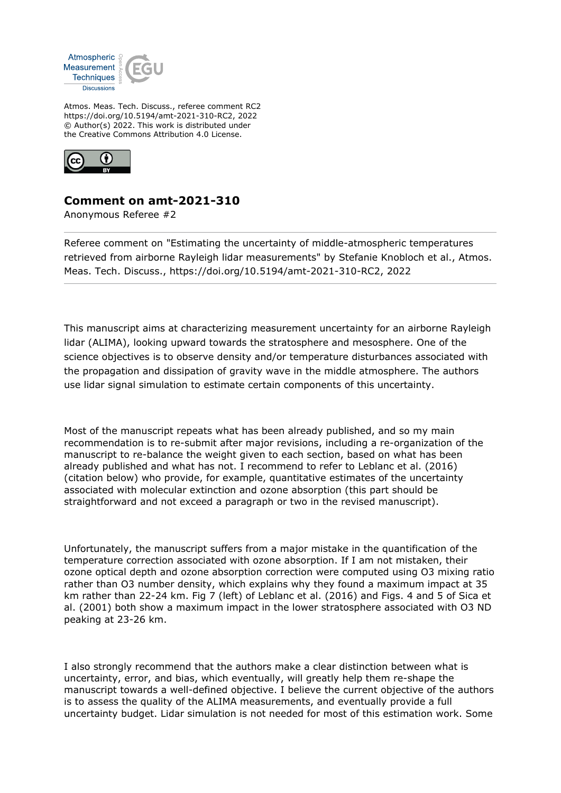

Atmos. Meas. Tech. Discuss., referee comment RC2 https://doi.org/10.5194/amt-2021-310-RC2, 2022 © Author(s) 2022. This work is distributed under the Creative Commons Attribution 4.0 License.



## **Comment on amt-2021-310**

Anonymous Referee #2

Referee comment on "Estimating the uncertainty of middle-atmospheric temperatures retrieved from airborne Rayleigh lidar measurements" by Stefanie Knobloch et al., Atmos. Meas. Tech. Discuss., https://doi.org/10.5194/amt-2021-310-RC2, 2022

This manuscript aims at characterizing measurement uncertainty for an airborne Rayleigh lidar (ALIMA), looking upward towards the stratosphere and mesosphere. One of the science objectives is to observe density and/or temperature disturbances associated with the propagation and dissipation of gravity wave in the middle atmosphere. The authors use lidar signal simulation to estimate certain components of this uncertainty.

Most of the manuscript repeats what has been already published, and so my main recommendation is to re-submit after major revisions, including a re-organization of the manuscript to re-balance the weight given to each section, based on what has been already published and what has not. I recommend to refer to Leblanc et al. (2016) (citation below) who provide, for example, quantitative estimates of the uncertainty associated with molecular extinction and ozone absorption (this part should be straightforward and not exceed a paragraph or two in the revised manuscript).

Unfortunately, the manuscript suffers from a major mistake in the quantification of the temperature correction associated with ozone absorption. If I am not mistaken, their ozone optical depth and ozone absorption correction were computed using O3 mixing ratio rather than O3 number density, which explains why they found a maximum impact at 35 km rather than 22-24 km. Fig 7 (left) of Leblanc et al. (2016) and Figs. 4 and 5 of Sica et al. (2001) both show a maximum impact in the lower stratosphere associated with O3 ND peaking at 23-26 km.

I also strongly recommend that the authors make a clear distinction between what is uncertainty, error, and bias, which eventually, will greatly help them re-shape the manuscript towards a well-defined objective. I believe the current objective of the authors is to assess the quality of the ALIMA measurements, and eventually provide a full uncertainty budget. Lidar simulation is not needed for most of this estimation work. Some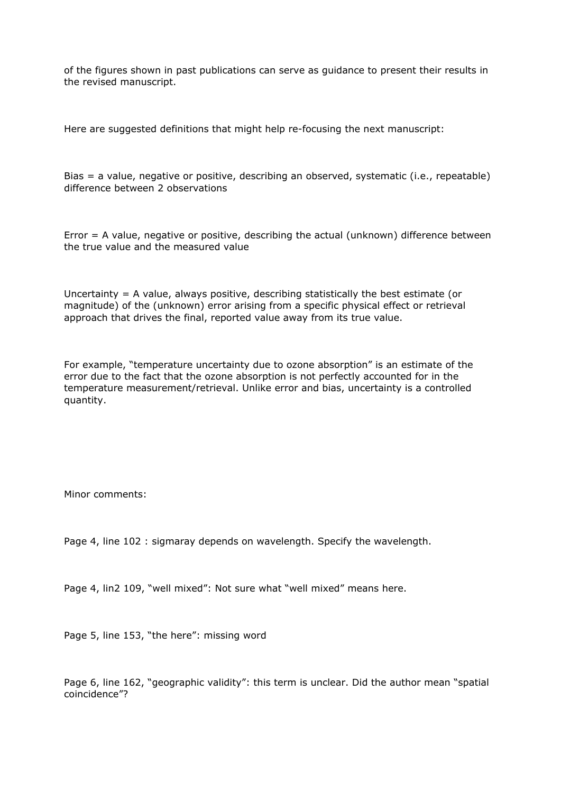of the figures shown in past publications can serve as guidance to present their results in the revised manuscript.

Here are suggested definitions that might help re-focusing the next manuscript:

Bias = a value, negative or positive, describing an observed, systematic (i.e., repeatable) difference between 2 observations

Error = A value, negative or positive, describing the actual (unknown) difference between the true value and the measured value

Uncertainty  $= A$  value, always positive, describing statistically the best estimate (or magnitude) of the (unknown) error arising from a specific physical effect or retrieval approach that drives the final, reported value away from its true value.

For example, "temperature uncertainty due to ozone absorption" is an estimate of the error due to the fact that the ozone absorption is not perfectly accounted for in the temperature measurement/retrieval. Unlike error and bias, uncertainty is a controlled quantity.

Minor comments:

Page 4, line 102 : sigmaray depends on wavelength. Specify the wavelength.

Page 4, lin2 109, "well mixed": Not sure what "well mixed" means here.

Page 5, line 153, "the here": missing word

Page 6, line 162, "geographic validity": this term is unclear. Did the author mean "spatial coincidence"?